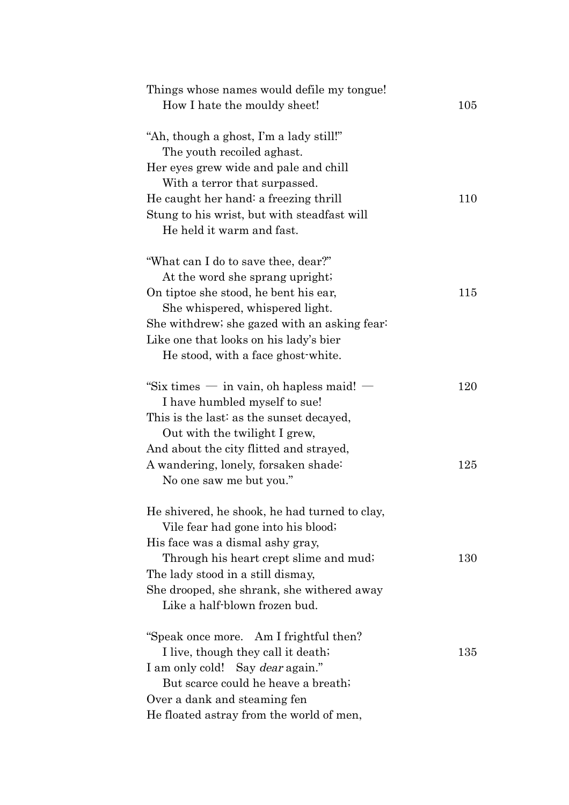| Things whose names would defile my tongue!<br>How I hate the mouldy sheet!                                                                                                                                                                                                            | 105        |
|---------------------------------------------------------------------------------------------------------------------------------------------------------------------------------------------------------------------------------------------------------------------------------------|------------|
| "Ah, though a ghost, I'm a lady still!"<br>The youth recoiled aghast.<br>Her eyes grew wide and pale and chill<br>With a terror that surpassed.<br>He caught her hand: a freezing thrill<br>Stung to his wrist, but with steadfast will<br>He held it warm and fast.                  | 110        |
| "What can I do to save thee, dear?"<br>At the word she sprang upright;<br>On tip toe she stood, he bent his ear,<br>She whispered, whispered light.<br>She withdrew; she gazed with an asking fear?<br>Like one that looks on his lady's bier<br>He stood, with a face ghost-white.   | 115        |
| "Six times $-$ in vain, oh hapless maid! $-$<br>I have humbled myself to sue!<br>This is the last: as the sunset decayed,<br>Out with the twilight I grew,<br>And about the city flitted and strayed,<br>A wandering, lonely, forsaken shade:<br>No one saw me but you."              | 120<br>125 |
| He shivered, he shook, he had turned to clay,<br>Vile fear had gone into his blood;<br>His face was a dismal ashy gray,<br>Through his heart crept slime and mud;<br>The lady stood in a still dismay,<br>She drooped, she shrank, she withered away<br>Like a half-blown frozen bud. | 130        |
| "Speak once more. Am I frightful then?<br>I live, though they call it death;<br>I am only cold! Say <i>dear</i> again."<br>But scarce could he heave a breath;<br>Over a dank and steaming fen<br>He floated astray from the world of men,                                            | 135        |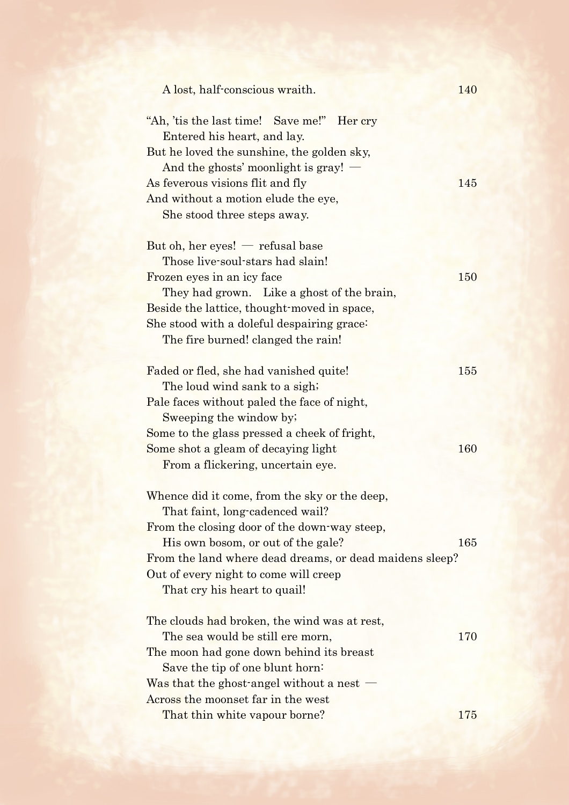| A lost, half-conscious wraith.                                                                                          | 140 |
|-------------------------------------------------------------------------------------------------------------------------|-----|
| "Ah, 'tis the last time! Save me!" Her cry<br>Entered his heart, and lay.<br>But he loved the sunshine, the golden sky, |     |
| And the ghosts' moonlight is gray!                                                                                      |     |
| As feverous visions flit and fly                                                                                        | 145 |
| And without a motion elude the eye,                                                                                     |     |
| She stood three steps away.                                                                                             |     |
| But oh, her eyes! $-$ refusal base                                                                                      |     |
| Those live-soul-stars had slain!                                                                                        |     |
| Frozen eyes in an icy face                                                                                              | 150 |
| They had grown. Like a ghost of the brain,                                                                              |     |
| Beside the lattice, thought-moved in space,                                                                             |     |
| She stood with a doleful despairing grace:                                                                              |     |
| The fire burned! clanged the rain!                                                                                      |     |
|                                                                                                                         |     |
| Faded or fled, she had vanished quite!                                                                                  | 155 |
| The loud wind sank to a sigh;                                                                                           |     |
| Pale faces without paled the face of night,                                                                             |     |
| Sweeping the window by:                                                                                                 |     |
| Some to the glass pressed a cheek of fright,                                                                            |     |
| Some shot a gleam of decaying light                                                                                     | 160 |
| From a flickering, uncertain eye.                                                                                       |     |
|                                                                                                                         |     |
| Whence did it come, from the sky or the deep,                                                                           |     |
| That faint, long-cadenced wail?                                                                                         |     |
| From the closing door of the down-way steep,                                                                            |     |
| His own bosom, or out of the gale?                                                                                      | 165 |
| From the land where dead dreams, or dead maidens sleep?                                                                 |     |
| Out of every night to come will creep                                                                                   |     |
| That cry his heart to quail!                                                                                            |     |
| The clouds had broken, the wind was at rest,                                                                            |     |
| The sea would be still ere morn,                                                                                        | 170 |
| The moon had gone down behind its breast                                                                                |     |
| Save the tip of one blunt horn:                                                                                         |     |
| Was that the ghost-angel without a nest $-$                                                                             |     |
| Across the moonset far in the west                                                                                      |     |
| That thin white vapour borne?                                                                                           | 175 |
|                                                                                                                         |     |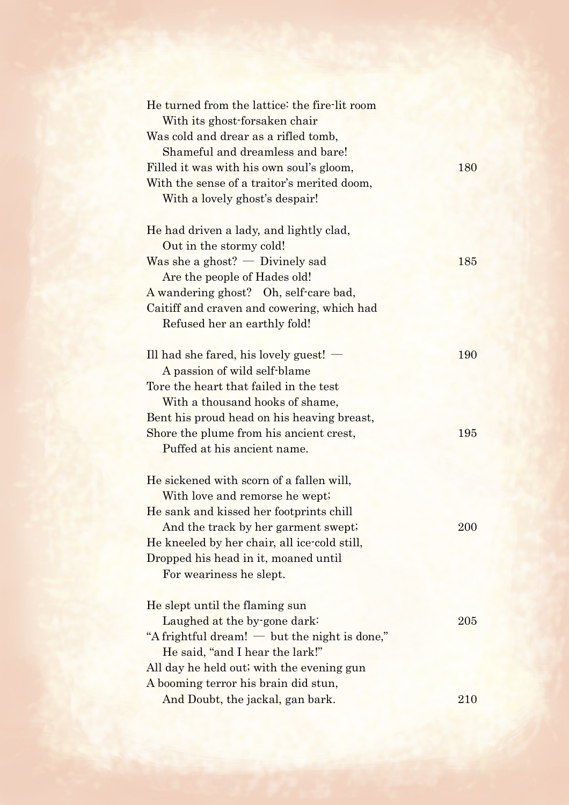| He turned from the lattice: the fire-lit room   |     |
|-------------------------------------------------|-----|
| With its ghost-forsaken chair                   |     |
| Was cold and drear as a rifled tomb,            |     |
| Shameful and dreamless and bare!                |     |
| Filled it was with his own soul's gloom,        | 180 |
| With the sense of a traitor's merited doom,     |     |
| With a lovely ghost's despair!                  |     |
|                                                 |     |
| He had driven a lady, and lightly clad,         |     |
| Out in the stormy cold!                         |     |
| Was she a ghost? $-$ Divinely sad               | 185 |
| Are the people of Hades old!                    |     |
| A wandering ghost? Oh, self-care bad,           |     |
| Caitiff and craven and cowering, which had      |     |
| Refused her an earthly fold!                    |     |
|                                                 |     |
| Ill had she fared, his lovely guest! $-$        | 190 |
| A passion of wild self-blame                    |     |
| Tore the heart that failed in the test          |     |
| With a thousand hooks of shame,                 |     |
| Bent his proud head on his heaving breast,      |     |
| Shore the plume from his ancient crest,         | 195 |
| Puffed at his ancient name.                     |     |
|                                                 |     |
| He sickened with scorn of a fallen will,        |     |
| With love and remorse he wept;                  |     |
| He sank and kissed her footprints chill         |     |
| And the track by her garment swept;             | 200 |
| He kneeled by her chair, all ice-cold still,    |     |
| Dropped his head in it, moaned until            |     |
| For weariness he slept.                         |     |
|                                                 |     |
| He slept until the flaming sun                  |     |
| Laughed at the by-gone dark:                    | 205 |
| "A frightful dream! $-$ but the night is done," |     |
| He said, "and I hear the lark!"                 |     |
| All day he held out; with the evening gun       |     |
| A booming terror his brain did stun,            |     |
| And Doubt, the jackal, gan bark.                | 210 |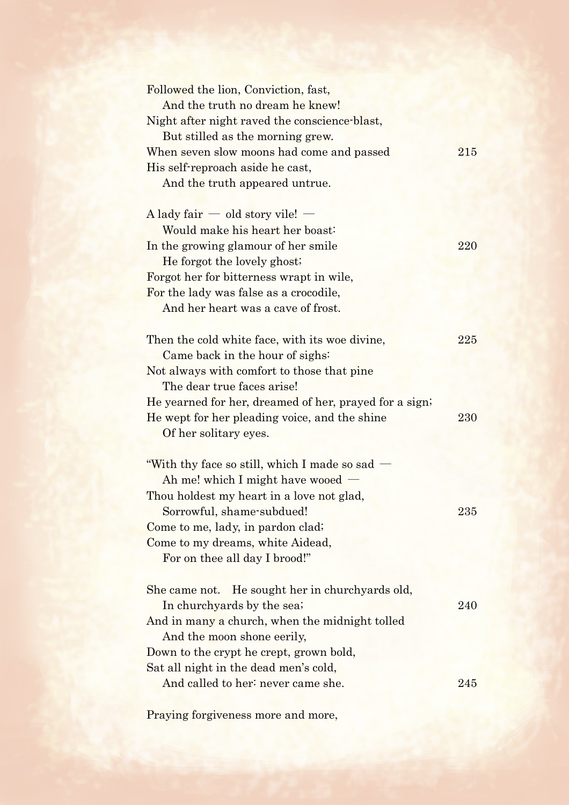| Followed the lion, Conviction, fast,<br>And the truth no dream he knew!<br>Night after night raved the conscience blast,<br>But stilled as the morning grew. |     |
|--------------------------------------------------------------------------------------------------------------------------------------------------------------|-----|
| When seven slow moons had come and passed<br>His self-reproach aside he cast,<br>And the truth appeared untrue.                                              | 215 |
| $\Lambda$ lady fair $\sim$ old story vile! $\sim$                                                                                                            |     |
| Would make his heart her boast:                                                                                                                              |     |
| In the growing glamour of her smile                                                                                                                          | 220 |
| He forgot the lovely ghost;                                                                                                                                  |     |
| Forgot her for bitterness wrapt in wile,                                                                                                                     |     |
| For the lady was false as a crocodile,<br>And her heart was a cave of frost.                                                                                 |     |
|                                                                                                                                                              |     |
| Then the cold white face, with its woe divine,<br>Came back in the hour of sighs:                                                                            | 225 |
| Not always with comfort to those that pine                                                                                                                   |     |
| The dear true faces arise!                                                                                                                                   |     |
| He yearned for her, dreamed of her, prayed for a sign;                                                                                                       |     |
| He wept for her pleading voice, and the shine                                                                                                                | 230 |
| Of her solitary eyes.                                                                                                                                        |     |
|                                                                                                                                                              |     |
| "With thy face so still, which I made so sad $-$                                                                                                             |     |
| Ah me! which I might have wooed                                                                                                                              |     |
| Thou holdest my heart in a love not glad,                                                                                                                    |     |
| Sorrowful, shame-subdued!                                                                                                                                    | 235 |
| Come to me, lady, in pardon clad;                                                                                                                            |     |
| Come to my dreams, white Aidead,<br>For on thee all day I brood!"                                                                                            |     |
|                                                                                                                                                              |     |
| She came not. He sought her in churchyards old,                                                                                                              |     |
| In churchyards by the sea;                                                                                                                                   | 240 |
| And in many a church, when the midnight tolled                                                                                                               |     |
| And the moon shone eerily,                                                                                                                                   |     |
| Down to the crypt he crept, grown bold,<br>Sat all night in the dead men's cold,                                                                             |     |
| And called to her: never came she.                                                                                                                           | 245 |
|                                                                                                                                                              |     |

Praying forgiveness more and more,